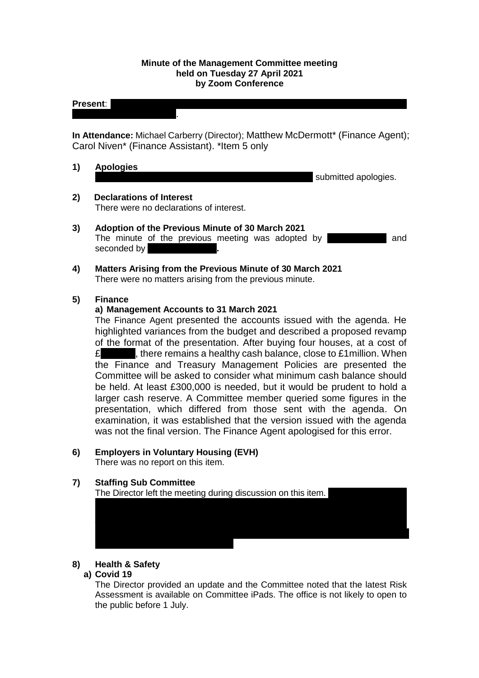#### **Minute of the Management Committee meeting held on Tuesday 27 April 2021 by Zoom Conference**

#### **Present:**  $\blacksquare$

Reuston; Sheena Stephen.

**In Attendance:** Michael Carberry (Director); Matthew McDermott\* (Finance Agent); Carol Niven\* (Finance Assistant). \*Item 5 only

- **1) Apologies** submitted apologies.
- **2) Declarations of Interest** There were no declarations of interest.
- **3) Adoption of the Previous Minute of 30 March 2021** The minute of the previous meeting was adopted by **Manufall** and seconded by
- **4) Matters Arising from the Previous Minute of 30 March 2021** There were no matters arising from the previous minute.

### **5) Finance**

### **a) Management Accounts to 31 March 2021**

The Finance Agent presented the accounts issued with the agenda. He highlighted variances from the budget and described a proposed revamp of the format of the presentation. After buying four houses, at a cost of  $£ 44,$  there remains a healthy cash balance, close to £1 million. When the Finance and Treasury Management Policies are presented the Committee will be asked to consider what minimum cash balance should be held. At least £300,000 is needed, but it would be prudent to hold a larger cash reserve. A Committee member queried some figures in the presentation, which differed from those sent with the agenda. On examination, it was established that the version issued with the agenda was not the final version. The Finance Agent apologised for this error.

# **6) Employers in Voluntary Housing (EVH)**

There was no report on this item.

### **7) Staffing Sub Committee**

The Director left the meeting during discussion on this item.

### **8) Health & Safety**

#### **a) Covid 19**

The Director provided an update and the Committee noted that the latest Risk Assessment is available on Committee iPads. The office is not likely to open to the public before 1 July.

Chairperson advised that a conclusion had been reached in the staffing issues that had been outstanding since 2019. A Settlement Agreement was reached with Housing Services Assistant, Danielle Murphy, and her employment will end on 30 April 2021. The Sub Committee had consulted with EVH and with a solicitor,